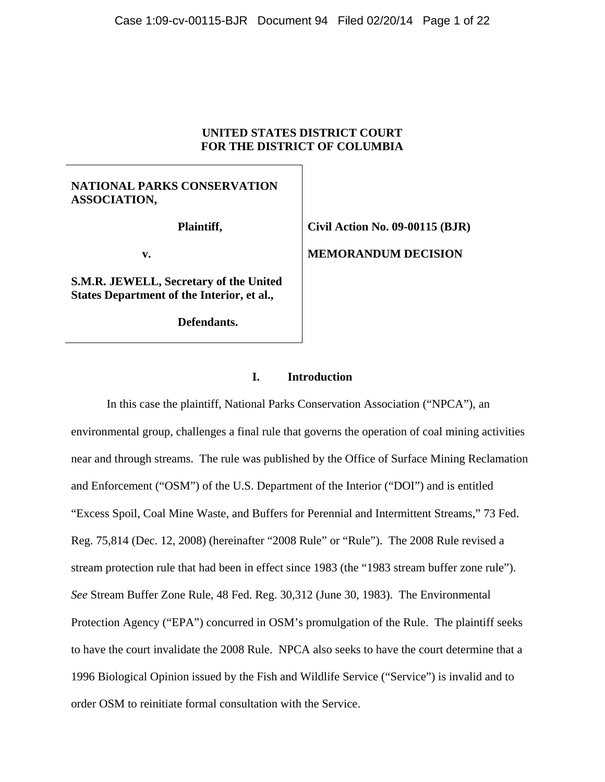# **UNITED STATES DISTRICT COURT FOR THE DISTRICT OF COLUMBIA**

# **NATIONAL PARKS CONSERVATION ASSOCIATION,**

 **Plaintiff,** 

 **v.** 

**S.M.R. JEWELL, Secretary of the United States Department of the Interior, et al.,** 

 **Defendants.** 

**Civil Action No. 09-00115 (BJR) MEMORANDUM DECISION** 

# **I. Introduction**

 In this case the plaintiff, National Parks Conservation Association ("NPCA"), an environmental group, challenges a final rule that governs the operation of coal mining activities near and through streams. The rule was published by the Office of Surface Mining Reclamation and Enforcement ("OSM") of the U.S. Department of the Interior ("DOI") and is entitled "Excess Spoil, Coal Mine Waste, and Buffers for Perennial and Intermittent Streams," 73 Fed. Reg. 75,814 (Dec. 12, 2008) (hereinafter "2008 Rule" or "Rule"). The 2008 Rule revised a stream protection rule that had been in effect since 1983 (the "1983 stream buffer zone rule"). *See* Stream Buffer Zone Rule, 48 Fed. Reg. 30,312 (June 30, 1983). The Environmental Protection Agency ("EPA") concurred in OSM's promulgation of the Rule. The plaintiff seeks to have the court invalidate the 2008 Rule. NPCA also seeks to have the court determine that a 1996 Biological Opinion issued by the Fish and Wildlife Service ("Service") is invalid and to order OSM to reinitiate formal consultation with the Service.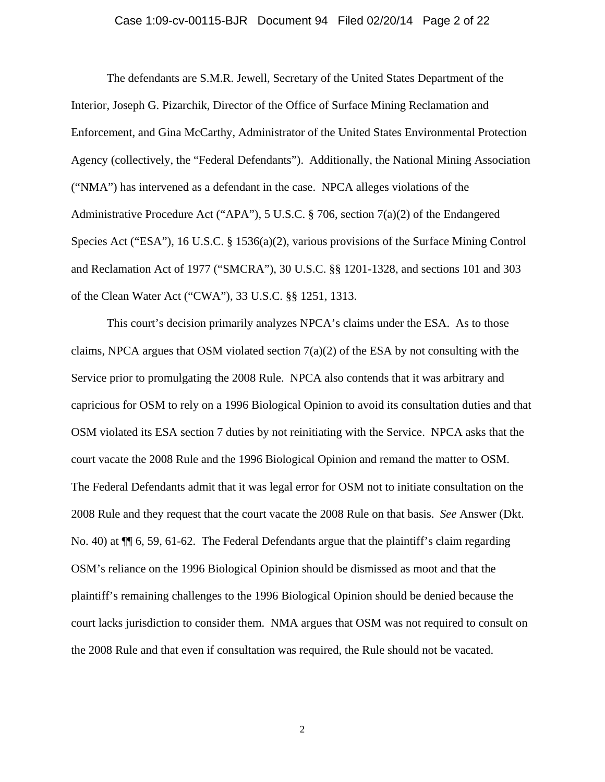#### Case 1:09-cv-00115-BJR Document 94 Filed 02/20/14 Page 2 of 22

The defendants are S.M.R. Jewell, Secretary of the United States Department of the Interior, Joseph G. Pizarchik, Director of the Office of Surface Mining Reclamation and Enforcement, and Gina McCarthy, Administrator of the United States Environmental Protection Agency (collectively, the "Federal Defendants"). Additionally, the National Mining Association ("NMA") has intervened as a defendant in the case. NPCA alleges violations of the Administrative Procedure Act ("APA"), 5 U.S.C. § 706, section  $7(a)(2)$  of the Endangered Species Act ("ESA"), 16 U.S.C. § 1536(a)(2), various provisions of the Surface Mining Control and Reclamation Act of 1977 ("SMCRA"), 30 U.S.C. §§ 1201-1328, and sections 101 and 303 of the Clean Water Act ("CWA"), 33 U.S.C. §§ 1251, 1313.

 This court's decision primarily analyzes NPCA's claims under the ESA. As to those claims, NPCA argues that OSM violated section  $7(a)(2)$  of the ESA by not consulting with the Service prior to promulgating the 2008 Rule. NPCA also contends that it was arbitrary and capricious for OSM to rely on a 1996 Biological Opinion to avoid its consultation duties and that OSM violated its ESA section 7 duties by not reinitiating with the Service. NPCA asks that the court vacate the 2008 Rule and the 1996 Biological Opinion and remand the matter to OSM. The Federal Defendants admit that it was legal error for OSM not to initiate consultation on the 2008 Rule and they request that the court vacate the 2008 Rule on that basis. *See* Answer (Dkt. No. 40) at  $\P$  6, 59, 61-62. The Federal Defendants argue that the plaintiff's claim regarding OSM's reliance on the 1996 Biological Opinion should be dismissed as moot and that the plaintiff's remaining challenges to the 1996 Biological Opinion should be denied because the court lacks jurisdiction to consider them. NMA argues that OSM was not required to consult on the 2008 Rule and that even if consultation was required, the Rule should not be vacated.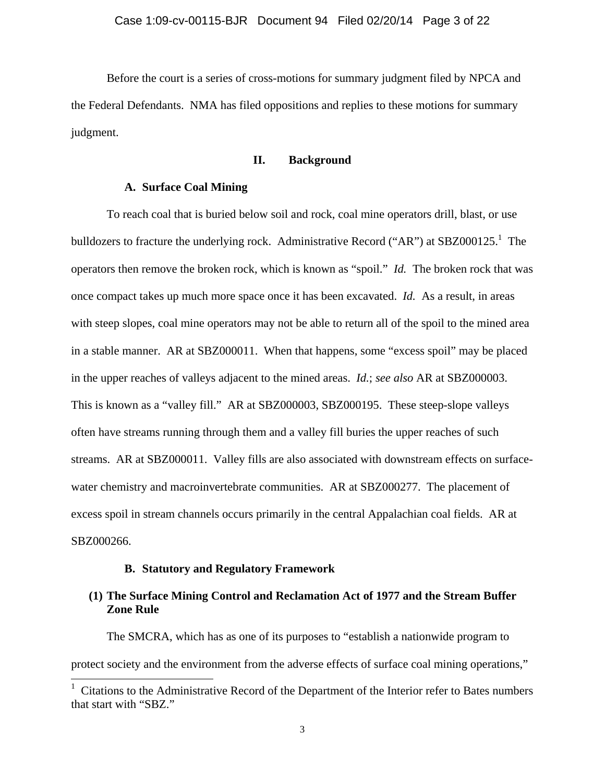Before the court is a series of cross-motions for summary judgment filed by NPCA and the Federal Defendants. NMA has filed oppositions and replies to these motions for summary judgment.

## **II. Background**

# **A. Surface Coal Mining**

To reach coal that is buried below soil and rock, coal mine operators drill, blast, or use bulldozers to fracture the underlying rock. Administrative Record ("AR") at SBZ000125.<sup>1</sup> The operators then remove the broken rock, which is known as "spoil." *Id.* The broken rock that was once compact takes up much more space once it has been excavated. *Id.* As a result, in areas with steep slopes, coal mine operators may not be able to return all of the spoil to the mined area in a stable manner. AR at SBZ000011. When that happens, some "excess spoil" may be placed in the upper reaches of valleys adjacent to the mined areas. *Id.*; *see also* AR at SBZ000003. This is known as a "valley fill." AR at SBZ000003, SBZ000195. These steep-slope valleys often have streams running through them and a valley fill buries the upper reaches of such streams. AR at SBZ000011. Valley fills are also associated with downstream effects on surfacewater chemistry and macroinvertebrate communities. AR at SBZ000277. The placement of excess spoil in stream channels occurs primarily in the central Appalachian coal fields. AR at SBZ000266.

# **B. Statutory and Regulatory Framework**

 $\overline{\phantom{a}}$ 

# **(1) The Surface Mining Control and Reclamation Act of 1977 and the Stream Buffer Zone Rule**

The SMCRA, which has as one of its purposes to "establish a nationwide program to protect society and the environment from the adverse effects of surface coal mining operations,"

<sup>&</sup>lt;sup>1</sup> Citations to the Administrative Record of the Department of the Interior refer to Bates numbers that start with "SBZ."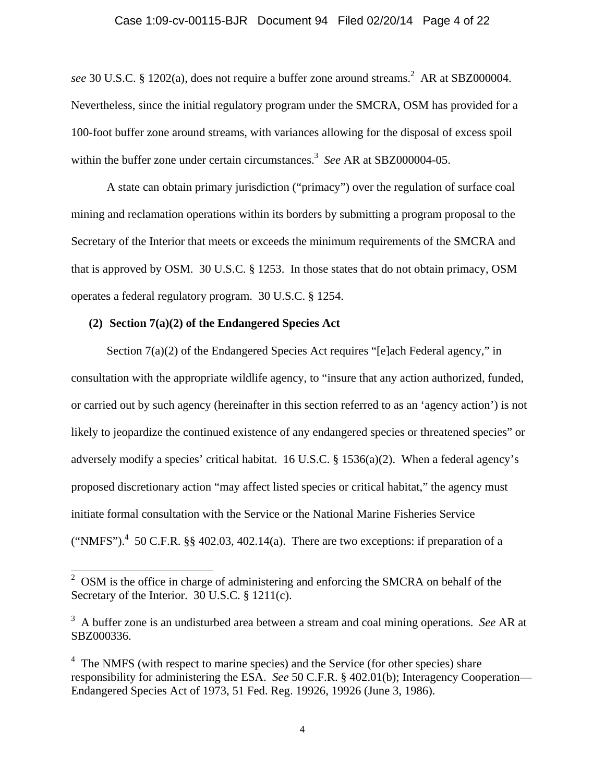### Case 1:09-cv-00115-BJR Document 94 Filed 02/20/14 Page 4 of 22

see 30 U.S.C. § 1202(a), does not require a buffer zone around streams.<sup>2</sup> AR at SBZ000004. Nevertheless, since the initial regulatory program under the SMCRA, OSM has provided for a 100-foot buffer zone around streams, with variances allowing for the disposal of excess spoil within the buffer zone under certain circumstances.<sup>3</sup> See AR at SBZ000004-05.

A state can obtain primary jurisdiction ("primacy") over the regulation of surface coal mining and reclamation operations within its borders by submitting a program proposal to the Secretary of the Interior that meets or exceeds the minimum requirements of the SMCRA and that is approved by OSM. 30 U.S.C. § 1253. In those states that do not obtain primacy, OSM operates a federal regulatory program. 30 U.S.C. § 1254.

# **(2) Section 7(a)(2) of the Endangered Species Act**

Section 7(a)(2) of the Endangered Species Act requires "[e]ach Federal agency," in consultation with the appropriate wildlife agency, to "insure that any action authorized, funded, or carried out by such agency (hereinafter in this section referred to as an 'agency action') is not likely to jeopardize the continued existence of any endangered species or threatened species" or adversely modify a species' critical habitat. 16 U.S.C. § 1536(a)(2). When a federal agency's proposed discretionary action "may affect listed species or critical habitat," the agency must initiate formal consultation with the Service or the National Marine Fisheries Service ("NMFS").<sup>4</sup> 50 C.F.R. §§ 402.03, 402.14(a). There are two exceptions: if preparation of a

<sup>&</sup>lt;sup>2</sup> OSM is the office in charge of administering and enforcing the SMCRA on behalf of the Secretary of the Interior. 30 U.S.C. § 1211(c).

<sup>3</sup> A buffer zone is an undisturbed area between a stream and coal mining operations. *See* AR at SBZ000336.

<sup>&</sup>lt;sup>4</sup> The NMFS (with respect to marine species) and the Service (for other species) share responsibility for administering the ESA. *See* 50 C.F.R. § 402.01(b); Interagency Cooperation— Endangered Species Act of 1973, 51 Fed. Reg. 19926, 19926 (June 3, 1986).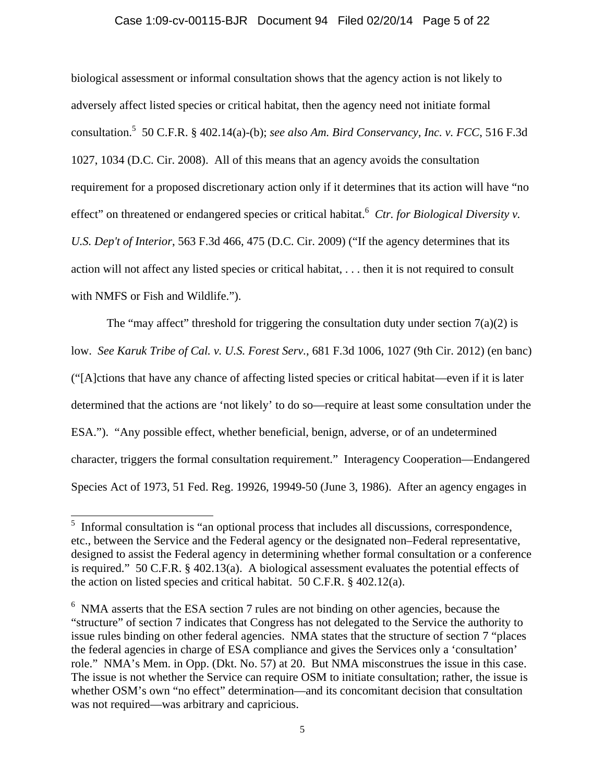### Case 1:09-cv-00115-BJR Document 94 Filed 02/20/14 Page 5 of 22

biological assessment or informal consultation shows that the agency action is not likely to adversely affect listed species or critical habitat, then the agency need not initiate formal consultation.<sup>5</sup> 50 C.F.R. § 402.14(a)-(b); *see also Am. Bird Conservancy, Inc. v. FCC*, 516 F.3d 1027, 1034 (D.C. Cir. 2008). All of this means that an agency avoids the consultation requirement for a proposed discretionary action only if it determines that its action will have "no effect" on threatened or endangered species or critical habitat.<sup>6</sup> Ctr. for Biological Diversity v. *U.S. Dep't of Interior*, 563 F.3d 466, 475 (D.C. Cir. 2009) ("If the agency determines that its action will not affect any listed species or critical habitat, . . . then it is not required to consult with NMFS or Fish and Wildlife.").

The "may affect" threshold for triggering the consultation duty under section  $7(a)(2)$  is low. *See Karuk Tribe of Cal. v. U.S. Forest Serv.*, 681 F.3d 1006, 1027 (9th Cir. 2012) (en banc) ("[A]ctions that have any chance of affecting listed species or critical habitat—even if it is later determined that the actions are 'not likely' to do so—require at least some consultation under the ESA."). "Any possible effect, whether beneficial, benign, adverse, or of an undetermined character, triggers the formal consultation requirement." Interagency Cooperation—Endangered Species Act of 1973, 51 Fed. Reg. 19926, 19949-50 (June 3, 1986). After an agency engages in

 $\overline{a}$ 

<sup>&</sup>lt;sup>5</sup> Informal consultation is "an optional process that includes all discussions, correspondence, etc., between the Service and the Federal agency or the designated non–Federal representative, designed to assist the Federal agency in determining whether formal consultation or a conference is required." 50 C.F.R. § 402.13(a). A biological assessment evaluates the potential effects of the action on listed species and critical habitat. 50 C.F.R. § 402.12(a).

<sup>&</sup>lt;sup>6</sup> NMA asserts that the ESA section 7 rules are not binding on other agencies, because the "structure" of section 7 indicates that Congress has not delegated to the Service the authority to issue rules binding on other federal agencies. NMA states that the structure of section 7 "places the federal agencies in charge of ESA compliance and gives the Services only a 'consultation' role." NMA's Mem. in Opp. (Dkt. No. 57) at 20. But NMA misconstrues the issue in this case. The issue is not whether the Service can require OSM to initiate consultation; rather, the issue is whether OSM's own "no effect" determination—and its concomitant decision that consultation was not required—was arbitrary and capricious.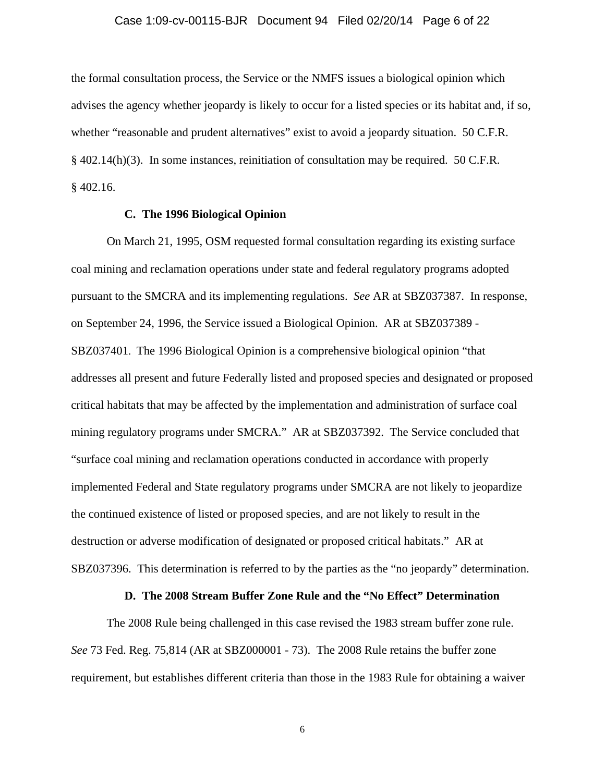#### Case 1:09-cv-00115-BJR Document 94 Filed 02/20/14 Page 6 of 22

the formal consultation process, the Service or the NMFS issues a biological opinion which advises the agency whether jeopardy is likely to occur for a listed species or its habitat and, if so, whether "reasonable and prudent alternatives" exist to avoid a jeopardy situation. 50 C.F.R. § 402.14(h)(3). In some instances, reinitiation of consultation may be required. 50 C.F.R. § 402.16.

## **C. The 1996 Biological Opinion**

On March 21, 1995, OSM requested formal consultation regarding its existing surface coal mining and reclamation operations under state and federal regulatory programs adopted pursuant to the SMCRA and its implementing regulations. *See* AR at SBZ037387. In response, on September 24, 1996, the Service issued a Biological Opinion. AR at SBZ037389 - SBZ037401. The 1996 Biological Opinion is a comprehensive biological opinion "that addresses all present and future Federally listed and proposed species and designated or proposed critical habitats that may be affected by the implementation and administration of surface coal mining regulatory programs under SMCRA." AR at SBZ037392. The Service concluded that "surface coal mining and reclamation operations conducted in accordance with properly implemented Federal and State regulatory programs under SMCRA are not likely to jeopardize the continued existence of listed or proposed species, and are not likely to result in the destruction or adverse modification of designated or proposed critical habitats." AR at SBZ037396. This determination is referred to by the parties as the "no jeopardy" determination.

# **D. The 2008 Stream Buffer Zone Rule and the "No Effect" Determination**

The 2008 Rule being challenged in this case revised the 1983 stream buffer zone rule. *See* 73 Fed. Reg. 75,814 (AR at SBZ000001 - 73). The 2008 Rule retains the buffer zone requirement, but establishes different criteria than those in the 1983 Rule for obtaining a waiver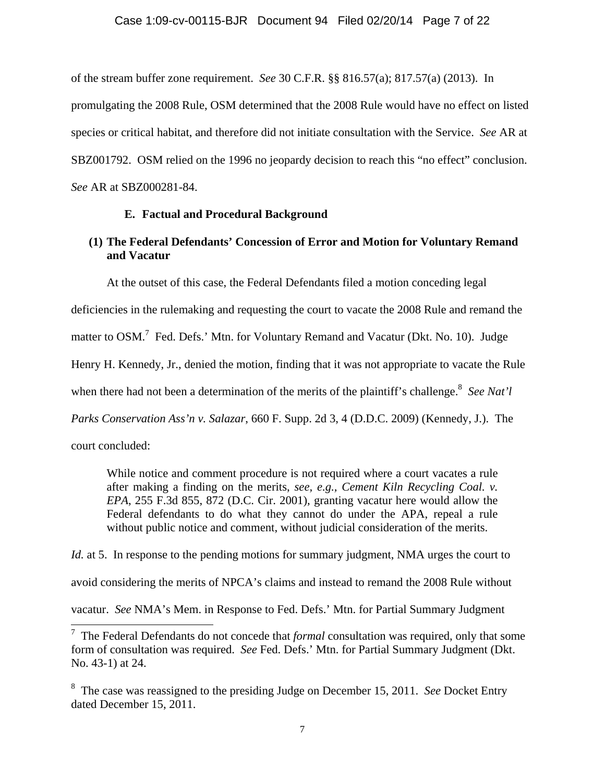of the stream buffer zone requirement. *See* 30 C.F.R. §§ 816.57(a); 817.57(a) (2013). In

promulgating the 2008 Rule, OSM determined that the 2008 Rule would have no effect on listed species or critical habitat, and therefore did not initiate consultation with the Service. *See* AR at SBZ001792. OSM relied on the 1996 no jeopardy decision to reach this "no effect" conclusion. *See* AR at SBZ000281-84.

# **E. Factual and Procedural Background**

# **(1) The Federal Defendants' Concession of Error and Motion for Voluntary Remand and Vacatur**

At the outset of this case, the Federal Defendants filed a motion conceding legal

deficiencies in the rulemaking and requesting the court to vacate the 2008 Rule and remand the

matter to OSM.<sup>7</sup> Fed. Defs.' Mtn. for Voluntary Remand and Vacatur (Dkt. No. 10). Judge

Henry H. Kennedy, Jr., denied the motion, finding that it was not appropriate to vacate the Rule

when there had not been a determination of the merits of the plaintiff's challenge.<sup>8</sup> See Nat'l

*Parks Conservation Ass'n v. Salazar*, 660 F. Supp. 2d 3, 4 (D.D.C. 2009) (Kennedy, J.). The

court concluded:

 $\overline{\phantom{a}}$ 

While notice and comment procedure is not required where a court vacates a rule after making a finding on the merits, *see, e.g., Cement Kiln Recycling Coal. v. EPA*, 255 F.3d 855, 872 (D.C. Cir. 2001), granting vacatur here would allow the Federal defendants to do what they cannot do under the APA, repeal a rule without public notice and comment, without judicial consideration of the merits.

*Id.* at 5. In response to the pending motions for summary judgment, NMA urges the court to avoid considering the merits of NPCA's claims and instead to remand the 2008 Rule without vacatur. *See* NMA's Mem. in Response to Fed. Defs.' Mtn. for Partial Summary Judgment

<sup>7</sup> The Federal Defendants do not concede that *formal* consultation was required, only that some form of consultation was required. *See* Fed. Defs.' Mtn. for Partial Summary Judgment (Dkt. No. 43-1) at 24.

<sup>8</sup> The case was reassigned to the presiding Judge on December 15, 2011. *See* Docket Entry dated December 15, 2011.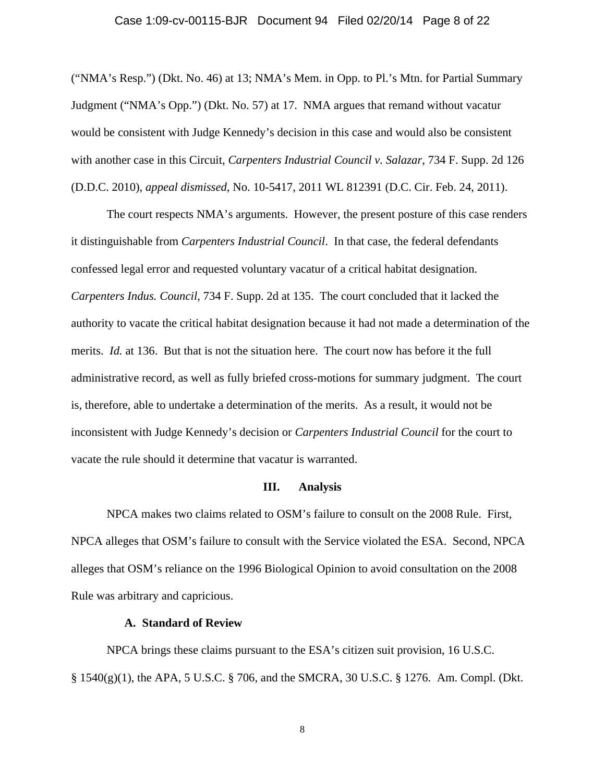#### Case 1:09-cv-00115-BJR Document 94 Filed 02/20/14 Page 8 of 22

("NMA's Resp.") (Dkt. No. 46) at 13; NMA's Mem. in Opp. to Pl.'s Mtn. for Partial Summary Judgment ("NMA's Opp.") (Dkt. No. 57) at 17. NMA argues that remand without vacatur would be consistent with Judge Kennedy's decision in this case and would also be consistent with another case in this Circuit, *Carpenters Industrial Council v. Salazar*, 734 F. Supp. 2d 126 (D.D.C. 2010), *appeal dismissed*, No. 10-5417, 2011 WL 812391 (D.C. Cir. Feb. 24, 2011).

The court respects NMA's arguments. However, the present posture of this case renders it distinguishable from *Carpenters Industrial Council*. In that case, the federal defendants confessed legal error and requested voluntary vacatur of a critical habitat designation. *Carpenters Indus. Council*, 734 F. Supp. 2d at 135. The court concluded that it lacked the authority to vacate the critical habitat designation because it had not made a determination of the merits. *Id.* at 136. But that is not the situation here. The court now has before it the full administrative record, as well as fully briefed cross-motions for summary judgment. The court is, therefore, able to undertake a determination of the merits. As a result, it would not be inconsistent with Judge Kennedy's decision or *Carpenters Industrial Council* for the court to vacate the rule should it determine that vacatur is warranted.

### **III. Analysis**

NPCA makes two claims related to OSM's failure to consult on the 2008 Rule. First, NPCA alleges that OSM's failure to consult with the Service violated the ESA. Second, NPCA alleges that OSM's reliance on the 1996 Biological Opinion to avoid consultation on the 2008 Rule was arbitrary and capricious.

## **A. Standard of Review**

NPCA brings these claims pursuant to the ESA's citizen suit provision, 16 U.S.C. § 1540(g)(1), the APA, 5 U.S.C. § 706, and the SMCRA, 30 U.S.C. § 1276. Am. Compl. (Dkt.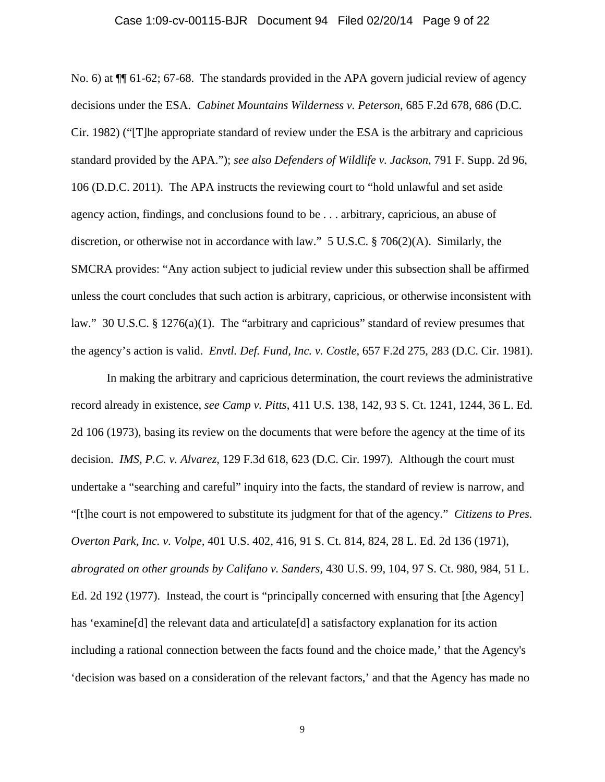#### Case 1:09-cv-00115-BJR Document 94 Filed 02/20/14 Page 9 of 22

No. 6) at  $\P$  61-62; 67-68. The standards provided in the APA govern judicial review of agency decisions under the ESA. *Cabinet Mountains Wilderness v. Peterson*, 685 F.2d 678, 686 (D.C. Cir. 1982) ("[T]he appropriate standard of review under the ESA is the arbitrary and capricious standard provided by the APA."); *see also Defenders of Wildlife v. Jackson*, 791 F. Supp. 2d 96, 106 (D.D.C. 2011). The APA instructs the reviewing court to "hold unlawful and set aside agency action, findings, and conclusions found to be . . . arbitrary, capricious, an abuse of discretion, or otherwise not in accordance with law." 5 U.S.C. § 706(2)(A). Similarly, the SMCRA provides: "Any action subject to judicial review under this subsection shall be affirmed unless the court concludes that such action is arbitrary, capricious, or otherwise inconsistent with law." 30 U.S.C. § 1276(a)(1). The "arbitrary and capricious" standard of review presumes that the agency's action is valid. *Envtl. Def. Fund, Inc. v. Costle*, 657 F.2d 275, 283 (D.C. Cir. 1981).

In making the arbitrary and capricious determination, the court reviews the administrative record already in existence, *see Camp v. Pitts*, 411 U.S. 138, 142, 93 S. Ct. 1241, 1244, 36 L. Ed. 2d 106 (1973), basing its review on the documents that were before the agency at the time of its decision. *IMS, P.C. v. Alvarez*, 129 F.3d 618, 623 (D.C. Cir. 1997). Although the court must undertake a "searching and careful" inquiry into the facts, the standard of review is narrow, and "[t]he court is not empowered to substitute its judgment for that of the agency." *Citizens to Pres. Overton Park, Inc. v. Volpe*, 401 U.S. 402, 416, 91 S. Ct. 814, 824, 28 L. Ed. 2d 136 (1971), *abrograted on other grounds by Califano v. Sanders,* 430 U.S. 99, 104, 97 S. Ct. 980, 984, 51 L. Ed. 2d 192 (1977). Instead, the court is "principally concerned with ensuring that [the Agency] has 'examine<sup>[d]</sup> the relevant data and articulate<sup>[d]</sup> a satisfactory explanation for its action including a rational connection between the facts found and the choice made,' that the Agency's 'decision was based on a consideration of the relevant factors,' and that the Agency has made no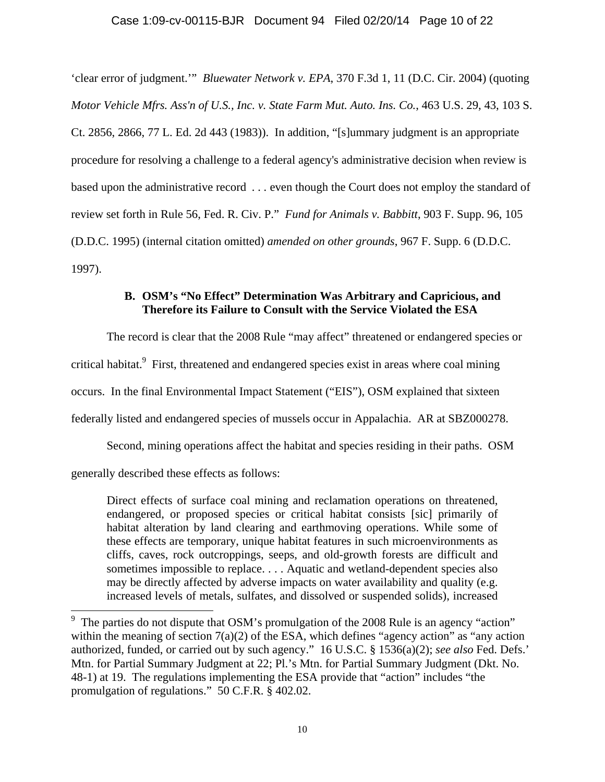# Case 1:09-cv-00115-BJR Document 94 Filed 02/20/14 Page 10 of 22

'clear error of judgment.'" *Bluewater Network v. EPA*, 370 F.3d 1, 11 (D.C. Cir. 2004) (quoting *Motor Vehicle Mfrs. Ass'n of U.S., Inc. v. State Farm Mut. Auto. Ins. Co.*, 463 U.S. 29, 43, 103 S. Ct. 2856, 2866, 77 L. Ed. 2d 443 (1983)). In addition, "[s]ummary judgment is an appropriate procedure for resolving a challenge to a federal agency's administrative decision when review is based upon the administrative record *. . .* even though the Court does not employ the standard of review set forth in Rule 56, Fed. R. Civ. P." *Fund for Animals v. Babbitt*, 903 F. Supp. 96, 105 (D.D.C. 1995) (internal citation omitted) *amended on other grounds*, 967 F. Supp. 6 (D.D.C. 1997).

# **B. OSM's "No Effect" Determination Was Arbitrary and Capricious, and Therefore its Failure to Consult with the Service Violated the ESA**

The record is clear that the 2008 Rule "may affect" threatened or endangered species or critical habitat.<sup>9</sup> First, threatened and endangered species exist in areas where coal mining occurs. In the final Environmental Impact Statement ("EIS"), OSM explained that sixteen federally listed and endangered species of mussels occur in Appalachia. AR at SBZ000278.

Second, mining operations affect the habitat and species residing in their paths. OSM

generally described these effects as follows:

Direct effects of surface coal mining and reclamation operations on threatened, endangered, or proposed species or critical habitat consists [sic] primarily of habitat alteration by land clearing and earthmoving operations. While some of these effects are temporary, unique habitat features in such microenvironments as cliffs, caves, rock outcroppings, seeps, and old-growth forests are difficult and sometimes impossible to replace. . . . Aquatic and wetland-dependent species also may be directly affected by adverse impacts on water availability and quality (e.g. increased levels of metals, sulfates, and dissolved or suspended solids), increased

<sup>&</sup>lt;sup>9</sup> The parties do not dispute that OSM's promulgation of the 2008 Rule is an agency "action" within the meaning of section  $7(a)(2)$  of the ESA, which defines "agency action" as "any action" authorized, funded, or carried out by such agency." 16 U.S.C. § 1536(a)(2); *see also* Fed. Defs.' Mtn. for Partial Summary Judgment at 22; Pl.'s Mtn. for Partial Summary Judgment (Dkt. No. 48-1) at 19. The regulations implementing the ESA provide that "action" includes "the promulgation of regulations." 50 C.F.R. § 402.02.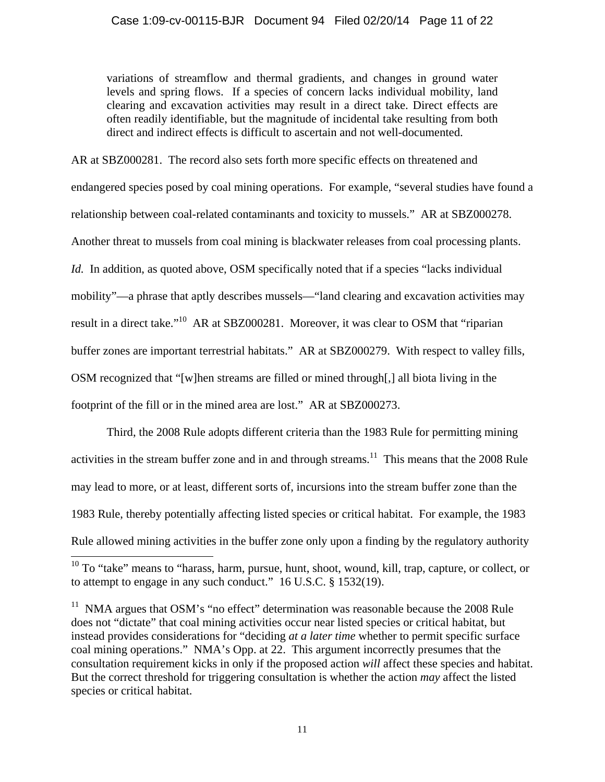variations of streamflow and thermal gradients, and changes in ground water levels and spring flows. If a species of concern lacks individual mobility, land clearing and excavation activities may result in a direct take. Direct effects are often readily identifiable, but the magnitude of incidental take resulting from both direct and indirect effects is difficult to ascertain and not well-documented.

AR at SBZ000281. The record also sets forth more specific effects on threatened and endangered species posed by coal mining operations. For example, "several studies have found a relationship between coal-related contaminants and toxicity to mussels." AR at SBZ000278. Another threat to mussels from coal mining is blackwater releases from coal processing plants. *Id.* In addition, as quoted above, OSM specifically noted that if a species "lacks individual mobility"—a phrase that aptly describes mussels—"land clearing and excavation activities may result in a direct take."10 AR at SBZ000281. Moreover, it was clear to OSM that "riparian buffer zones are important terrestrial habitats." AR at SBZ000279. With respect to valley fills, OSM recognized that "[w]hen streams are filled or mined through[,] all biota living in the footprint of the fill or in the mined area are lost." AR at SBZ000273.

Third, the 2008 Rule adopts different criteria than the 1983 Rule for permitting mining activities in the stream buffer zone and in and through streams.<sup>11</sup> This means that the 2008 Rule may lead to more, or at least, different sorts of, incursions into the stream buffer zone than the 1983 Rule, thereby potentially affecting listed species or critical habitat. For example, the 1983 Rule allowed mining activities in the buffer zone only upon a finding by the regulatory authority

 $\overline{\phantom{a}}$ 

 $10$  To "take" means to "harass, harm, pursue, hunt, shoot, wound, kill, trap, capture, or collect, or to attempt to engage in any such conduct." 16 U.S.C. § 1532(19).

 $11$  NMA argues that OSM's "no effect" determination was reasonable because the 2008 Rule does not "dictate" that coal mining activities occur near listed species or critical habitat, but instead provides considerations for "deciding *at a later time* whether to permit specific surface coal mining operations." NMA's Opp. at 22. This argument incorrectly presumes that the consultation requirement kicks in only if the proposed action *will* affect these species and habitat. But the correct threshold for triggering consultation is whether the action *may* affect the listed species or critical habitat.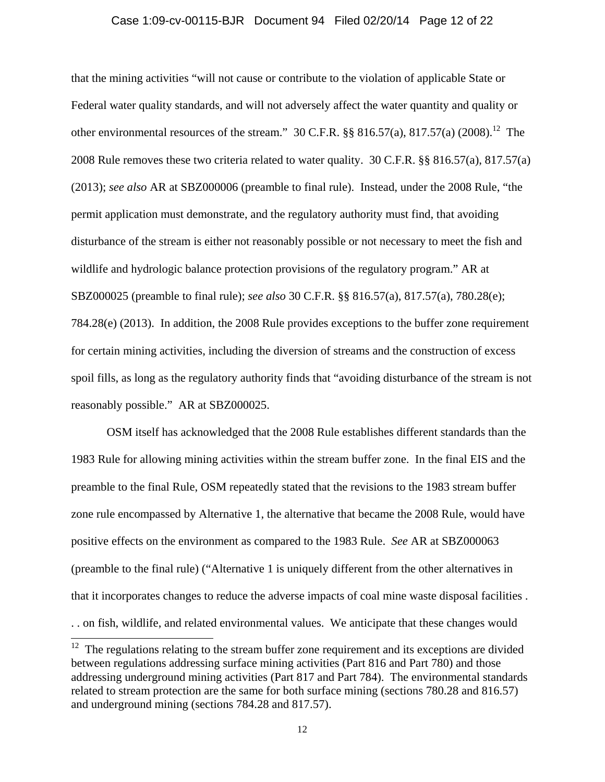#### Case 1:09-cv-00115-BJR Document 94 Filed 02/20/14 Page 12 of 22

that the mining activities "will not cause or contribute to the violation of applicable State or Federal water quality standards, and will not adversely affect the water quantity and quality or other environmental resources of the stream." 30 C.F.R.  $\S$ § 816.57(a), 817.57(a) (2008).<sup>12</sup> The 2008 Rule removes these two criteria related to water quality. 30 C.F.R. §§ 816.57(a), 817.57(a) (2013); *see also* AR at SBZ000006 (preamble to final rule). Instead, under the 2008 Rule, "the permit application must demonstrate, and the regulatory authority must find, that avoiding disturbance of the stream is either not reasonably possible or not necessary to meet the fish and wildlife and hydrologic balance protection provisions of the regulatory program." AR at SBZ000025 (preamble to final rule); *see also* 30 C.F.R. §§ 816.57(a), 817.57(a), 780.28(e); 784.28(e) (2013). In addition, the 2008 Rule provides exceptions to the buffer zone requirement for certain mining activities, including the diversion of streams and the construction of excess spoil fills, as long as the regulatory authority finds that "avoiding disturbance of the stream is not reasonably possible." AR at SBZ000025.

OSM itself has acknowledged that the 2008 Rule establishes different standards than the 1983 Rule for allowing mining activities within the stream buffer zone. In the final EIS and the preamble to the final Rule, OSM repeatedly stated that the revisions to the 1983 stream buffer zone rule encompassed by Alternative 1, the alternative that became the 2008 Rule, would have positive effects on the environment as compared to the 1983 Rule. *See* AR at SBZ000063 (preamble to the final rule) ("Alternative 1 is uniquely different from the other alternatives in that it incorporates changes to reduce the adverse impacts of coal mine waste disposal facilities . . . on fish, wildlife, and related environmental values. We anticipate that these changes would

l

 $12$  The regulations relating to the stream buffer zone requirement and its exceptions are divided between regulations addressing surface mining activities (Part 816 and Part 780) and those addressing underground mining activities (Part 817 and Part 784). The environmental standards related to stream protection are the same for both surface mining (sections 780.28 and 816.57) and underground mining (sections 784.28 and 817.57).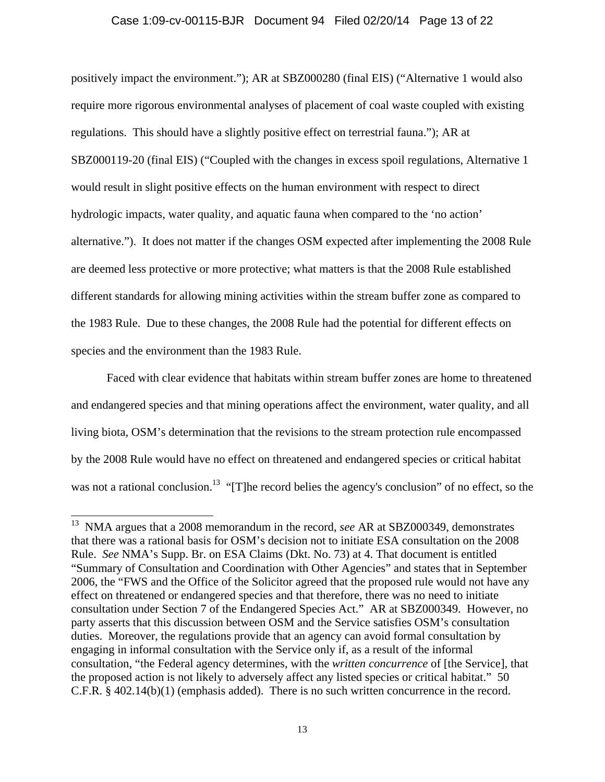### Case 1:09-cv-00115-BJR Document 94 Filed 02/20/14 Page 13 of 22

positively impact the environment."); AR at SBZ000280 (final EIS) ("Alternative 1 would also require more rigorous environmental analyses of placement of coal waste coupled with existing regulations. This should have a slightly positive effect on terrestrial fauna."); AR at SBZ000119-20 (final EIS) ("Coupled with the changes in excess spoil regulations, Alternative 1 would result in slight positive effects on the human environment with respect to direct hydrologic impacts, water quality, and aquatic fauna when compared to the 'no action' alternative."). It does not matter if the changes OSM expected after implementing the 2008 Rule are deemed less protective or more protective; what matters is that the 2008 Rule established different standards for allowing mining activities within the stream buffer zone as compared to the 1983 Rule. Due to these changes, the 2008 Rule had the potential for different effects on species and the environment than the 1983 Rule.

Faced with clear evidence that habitats within stream buffer zones are home to threatened and endangered species and that mining operations affect the environment, water quality, and all living biota, OSM's determination that the revisions to the stream protection rule encompassed by the 2008 Rule would have no effect on threatened and endangered species or critical habitat was not a rational conclusion.<sup>13</sup> "[T]he record belies the agency's conclusion" of no effect, so the

 $\overline{a}$ 

<sup>13</sup> NMA argues that a 2008 memorandum in the record, *see* AR at SBZ000349, demonstrates that there was a rational basis for OSM's decision not to initiate ESA consultation on the 2008 Rule. *See* NMA's Supp. Br. on ESA Claims (Dkt. No. 73) at 4. That document is entitled "Summary of Consultation and Coordination with Other Agencies" and states that in September 2006, the "FWS and the Office of the Solicitor agreed that the proposed rule would not have any effect on threatened or endangered species and that therefore, there was no need to initiate consultation under Section 7 of the Endangered Species Act." AR at SBZ000349. However, no party asserts that this discussion between OSM and the Service satisfies OSM's consultation duties. Moreover, the regulations provide that an agency can avoid formal consultation by engaging in informal consultation with the Service only if, as a result of the informal consultation, "the Federal agency determines, with the *written concurrence* of [the Service], that the proposed action is not likely to adversely affect any listed species or critical habitat." 50 C.F.R. § 402.14(b)(1) (emphasis added). There is no such written concurrence in the record.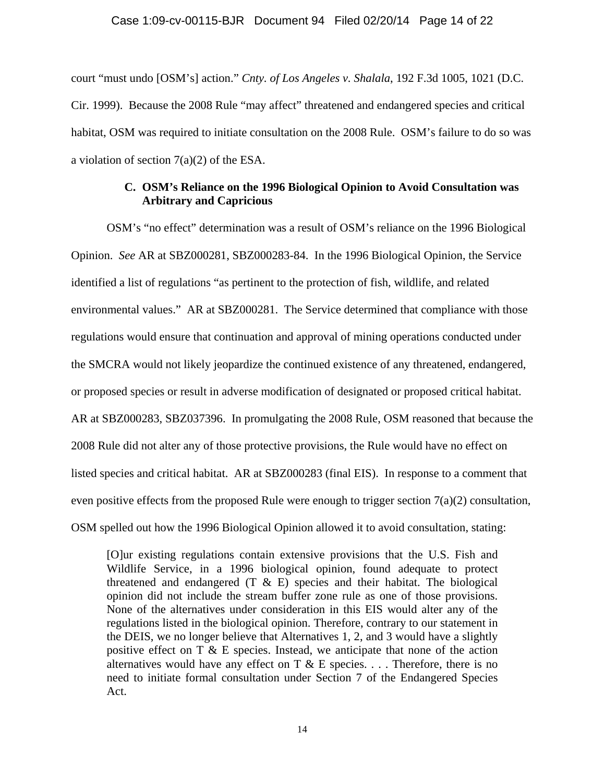### Case 1:09-cv-00115-BJR Document 94 Filed 02/20/14 Page 14 of 22

court "must undo [OSM's] action." *Cnty. of Los Angeles v. Shalala*, 192 F.3d 1005, 1021 (D.C. Cir. 1999). Because the 2008 Rule "may affect" threatened and endangered species and critical habitat, OSM was required to initiate consultation on the 2008 Rule. OSM's failure to do so was a violation of section 7(a)(2) of the ESA.

# **C. OSM's Reliance on the 1996 Biological Opinion to Avoid Consultation was Arbitrary and Capricious**

OSM's "no effect" determination was a result of OSM's reliance on the 1996 Biological Opinion. *See* AR at SBZ000281, SBZ000283-84. In the 1996 Biological Opinion, the Service identified a list of regulations "as pertinent to the protection of fish, wildlife, and related environmental values." AR at SBZ000281. The Service determined that compliance with those regulations would ensure that continuation and approval of mining operations conducted under the SMCRA would not likely jeopardize the continued existence of any threatened, endangered, or proposed species or result in adverse modification of designated or proposed critical habitat. AR at SBZ000283, SBZ037396. In promulgating the 2008 Rule, OSM reasoned that because the 2008 Rule did not alter any of those protective provisions, the Rule would have no effect on listed species and critical habitat. AR at SBZ000283 (final EIS). In response to a comment that even positive effects from the proposed Rule were enough to trigger section  $7(a)(2)$  consultation, OSM spelled out how the 1996 Biological Opinion allowed it to avoid consultation, stating:

[O]ur existing regulations contain extensive provisions that the U.S. Fish and Wildlife Service, in a 1996 biological opinion, found adequate to protect threatened and endangered  $(T \& E)$  species and their habitat. The biological opinion did not include the stream buffer zone rule as one of those provisions. None of the alternatives under consideration in this EIS would alter any of the regulations listed in the biological opinion. Therefore, contrary to our statement in the DEIS, we no longer believe that Alternatives 1, 2, and 3 would have a slightly positive effect on T & E species. Instead, we anticipate that none of the action alternatives would have any effect on  $T \& E$  species. ... Therefore, there is no need to initiate formal consultation under Section 7 of the Endangered Species Act.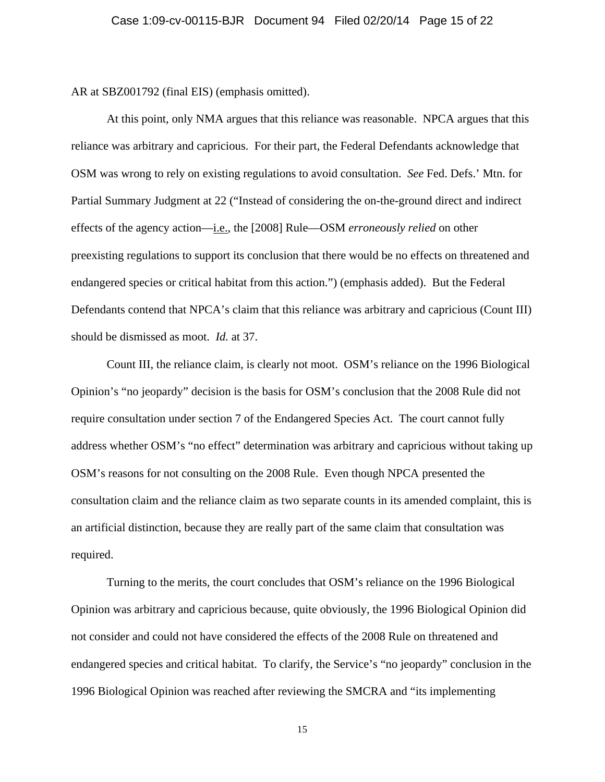AR at SBZ001792 (final EIS) (emphasis omitted).

At this point, only NMA argues that this reliance was reasonable. NPCA argues that this reliance was arbitrary and capricious. For their part, the Federal Defendants acknowledge that OSM was wrong to rely on existing regulations to avoid consultation. *See* Fed. Defs.' Mtn. for Partial Summary Judgment at 22 ("Instead of considering the on-the-ground direct and indirect effects of the agency action—i.e., the [2008] Rule—OSM *erroneously relied* on other preexisting regulations to support its conclusion that there would be no effects on threatened and endangered species or critical habitat from this action.") (emphasis added). But the Federal Defendants contend that NPCA's claim that this reliance was arbitrary and capricious (Count III) should be dismissed as moot. *Id.* at 37.

Count III, the reliance claim, is clearly not moot. OSM's reliance on the 1996 Biological Opinion's "no jeopardy" decision is the basis for OSM's conclusion that the 2008 Rule did not require consultation under section 7 of the Endangered Species Act. The court cannot fully address whether OSM's "no effect" determination was arbitrary and capricious without taking up OSM's reasons for not consulting on the 2008 Rule. Even though NPCA presented the consultation claim and the reliance claim as two separate counts in its amended complaint, this is an artificial distinction, because they are really part of the same claim that consultation was required.

Turning to the merits, the court concludes that OSM's reliance on the 1996 Biological Opinion was arbitrary and capricious because, quite obviously, the 1996 Biological Opinion did not consider and could not have considered the effects of the 2008 Rule on threatened and endangered species and critical habitat. To clarify, the Service's "no jeopardy" conclusion in the 1996 Biological Opinion was reached after reviewing the SMCRA and "its implementing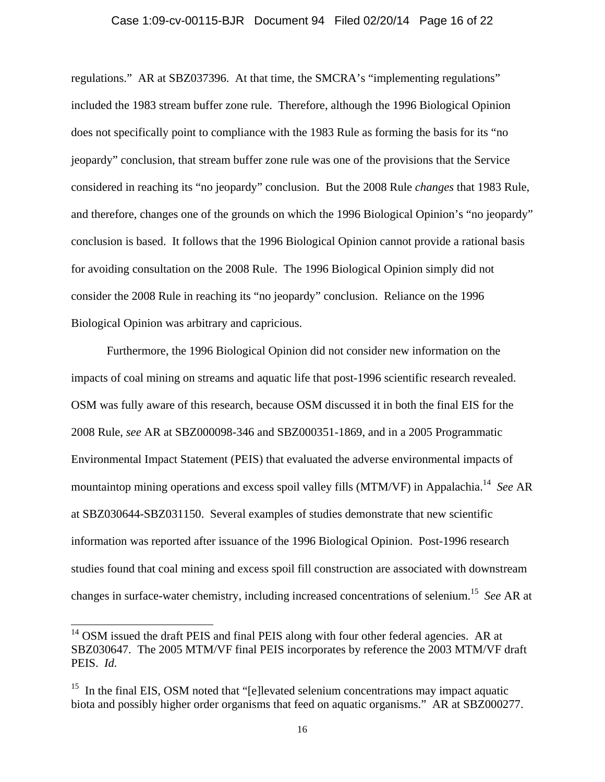### Case 1:09-cv-00115-BJR Document 94 Filed 02/20/14 Page 16 of 22

regulations." AR at SBZ037396. At that time, the SMCRA's "implementing regulations" included the 1983 stream buffer zone rule. Therefore, although the 1996 Biological Opinion does not specifically point to compliance with the 1983 Rule as forming the basis for its "no jeopardy" conclusion, that stream buffer zone rule was one of the provisions that the Service considered in reaching its "no jeopardy" conclusion. But the 2008 Rule *changes* that 1983 Rule, and therefore, changes one of the grounds on which the 1996 Biological Opinion's "no jeopardy" conclusion is based. It follows that the 1996 Biological Opinion cannot provide a rational basis for avoiding consultation on the 2008 Rule. The 1996 Biological Opinion simply did not consider the 2008 Rule in reaching its "no jeopardy" conclusion. Reliance on the 1996 Biological Opinion was arbitrary and capricious.

Furthermore, the 1996 Biological Opinion did not consider new information on the impacts of coal mining on streams and aquatic life that post-1996 scientific research revealed. OSM was fully aware of this research, because OSM discussed it in both the final EIS for the 2008 Rule, *see* AR at SBZ000098-346 and SBZ000351-1869, and in a 2005 Programmatic Environmental Impact Statement (PEIS) that evaluated the adverse environmental impacts of mountaintop mining operations and excess spoil valley fills (MTM/VF) in Appalachia.14 *See* AR at SBZ030644-SBZ031150. Several examples of studies demonstrate that new scientific information was reported after issuance of the 1996 Biological Opinion. Post-1996 research studies found that coal mining and excess spoil fill construction are associated with downstream changes in surface-water chemistry, including increased concentrations of selenium.15 *See* AR at

 $\overline{\phantom{a}}$ 

 $14$  OSM issued the draft PEIS and final PEIS along with four other federal agencies. AR at SBZ030647. The 2005 MTM/VF final PEIS incorporates by reference the 2003 MTM/VF draft PEIS. *Id.* 

<sup>&</sup>lt;sup>15</sup> In the final EIS, OSM noted that "[e]levated selenium concentrations may impact aquatic biota and possibly higher order organisms that feed on aquatic organisms." AR at SBZ000277.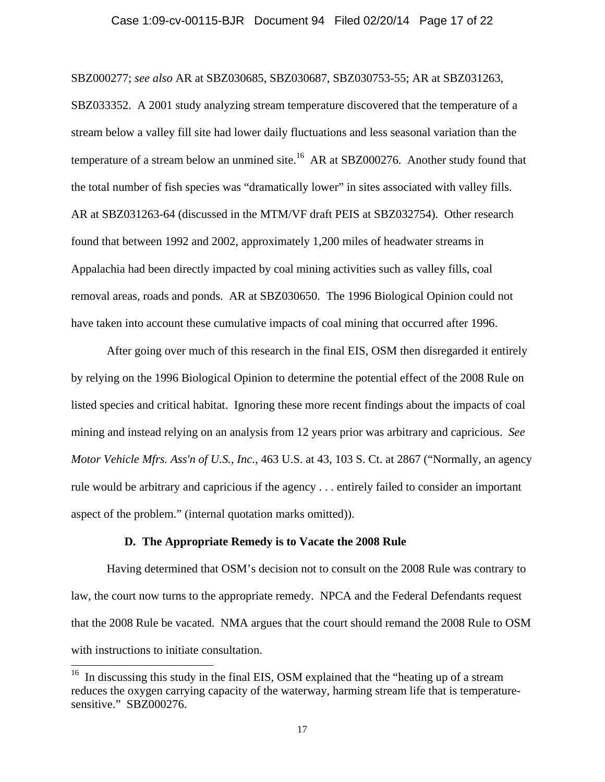### Case 1:09-cv-00115-BJR Document 94 Filed 02/20/14 Page 17 of 22

SBZ000277; *see also* AR at SBZ030685, SBZ030687, SBZ030753-55; AR at SBZ031263, SBZ033352. A 2001 study analyzing stream temperature discovered that the temperature of a stream below a valley fill site had lower daily fluctuations and less seasonal variation than the temperature of a stream below an unmined site.<sup>16</sup> AR at SBZ000276. Another study found that the total number of fish species was "dramatically lower" in sites associated with valley fills. AR at SBZ031263-64 (discussed in the MTM/VF draft PEIS at SBZ032754). Other research found that between 1992 and 2002, approximately 1,200 miles of headwater streams in Appalachia had been directly impacted by coal mining activities such as valley fills, coal removal areas, roads and ponds. AR at SBZ030650. The 1996 Biological Opinion could not have taken into account these cumulative impacts of coal mining that occurred after 1996.

After going over much of this research in the final EIS, OSM then disregarded it entirely by relying on the 1996 Biological Opinion to determine the potential effect of the 2008 Rule on listed species and critical habitat. Ignoring these more recent findings about the impacts of coal mining and instead relying on an analysis from 12 years prior was arbitrary and capricious. *See Motor Vehicle Mfrs. Ass'n of U.S., Inc.*, 463 U.S. at 43, 103 S. Ct. at 2867 ("Normally, an agency rule would be arbitrary and capricious if the agency . . . entirely failed to consider an important aspect of the problem." (internal quotation marks omitted)).

### **D. The Appropriate Remedy is to Vacate the 2008 Rule**

 $\overline{\phantom{a}}$ 

Having determined that OSM's decision not to consult on the 2008 Rule was contrary to law, the court now turns to the appropriate remedy. NPCA and the Federal Defendants request that the 2008 Rule be vacated. NMA argues that the court should remand the 2008 Rule to OSM with instructions to initiate consultation.

 $16$  In discussing this study in the final EIS, OSM explained that the "heating up of a stream" reduces the oxygen carrying capacity of the waterway, harming stream life that is temperaturesensitive." SBZ000276.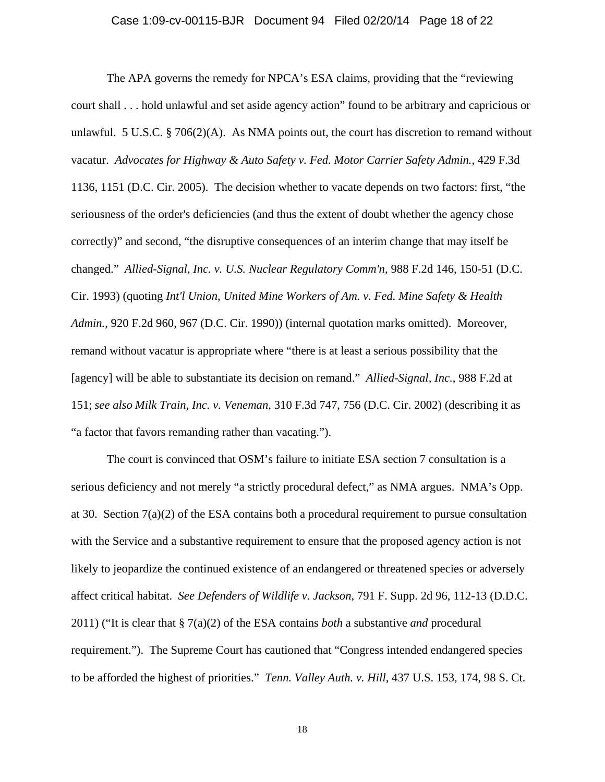#### Case 1:09-cv-00115-BJR Document 94 Filed 02/20/14 Page 18 of 22

The APA governs the remedy for NPCA's ESA claims, providing that the "reviewing court shall . . . hold unlawful and set aside agency action" found to be arbitrary and capricious or unlawful. 5 U.S.C. § 706(2)(A). As NMA points out, the court has discretion to remand without vacatur. *Advocates for Highway & Auto Safety v. Fed. Motor Carrier Safety Admin.*, 429 F.3d 1136, 1151 (D.C. Cir. 2005). The decision whether to vacate depends on two factors: first, "the seriousness of the order's deficiencies (and thus the extent of doubt whether the agency chose correctly)" and second, "the disruptive consequences of an interim change that may itself be changed." *Allied-Signal, Inc. v. U.S. Nuclear Regulatory Comm'n*, 988 F.2d 146, 150-51 (D.C. Cir. 1993) (quoting *Int'l Union, United Mine Workers of Am. v. Fed. Mine Safety & Health Admin.*, 920 F.2d 960, 967 (D.C. Cir. 1990)) (internal quotation marks omitted). Moreover, remand without vacatur is appropriate where "there is at least a serious possibility that the [agency] will be able to substantiate its decision on remand." *Allied-Signal, Inc.*, 988 F.2d at 151; *see also Milk Train, Inc. v. Veneman*, 310 F.3d 747, 756 (D.C. Cir. 2002) (describing it as "a factor that favors remanding rather than vacating.").

The court is convinced that OSM's failure to initiate ESA section 7 consultation is a serious deficiency and not merely "a strictly procedural defect," as NMA argues. NMA's Opp. at 30. Section  $7(a)(2)$  of the ESA contains both a procedural requirement to pursue consultation with the Service and a substantive requirement to ensure that the proposed agency action is not likely to jeopardize the continued existence of an endangered or threatened species or adversely affect critical habitat. *See Defenders of Wildlife v. Jackson*, 791 F. Supp. 2d 96, 112-13 (D.D.C. 2011) ("It is clear that § 7(a)(2) of the ESA contains *both* a substantive *and* procedural requirement."). The Supreme Court has cautioned that "Congress intended endangered species to be afforded the highest of priorities." *Tenn. Valley Auth. v. Hill*, 437 U.S. 153, 174, 98 S. Ct.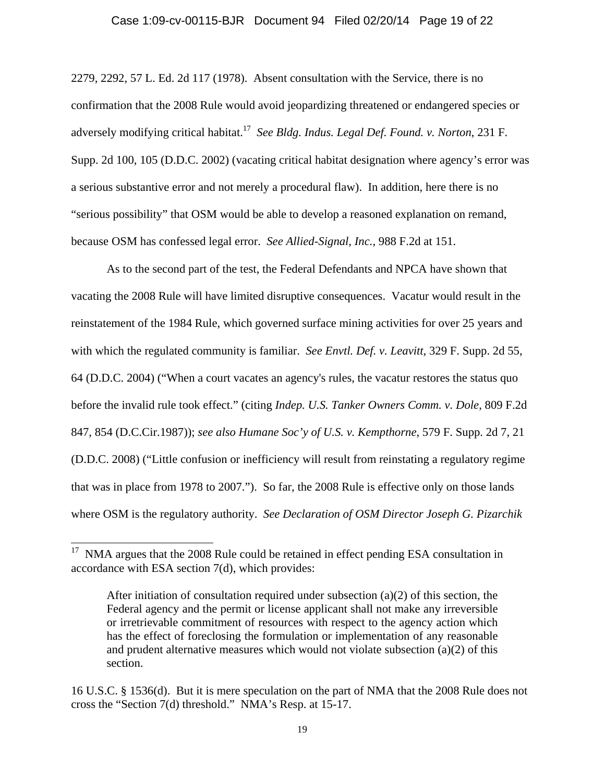### Case 1:09-cv-00115-BJR Document 94 Filed 02/20/14 Page 19 of 22

2279, 2292, 57 L. Ed. 2d 117 (1978). Absent consultation with the Service, there is no confirmation that the 2008 Rule would avoid jeopardizing threatened or endangered species or adversely modifying critical habitat.17 *See Bldg. Indus. Legal Def. Found. v. Norton*, 231 F. Supp. 2d 100, 105 (D.D.C. 2002) (vacating critical habitat designation where agency's error was a serious substantive error and not merely a procedural flaw). In addition, here there is no "serious possibility" that OSM would be able to develop a reasoned explanation on remand, because OSM has confessed legal error. *See Allied-Signal, Inc.*, 988 F.2d at 151.

As to the second part of the test, the Federal Defendants and NPCA have shown that vacating the 2008 Rule will have limited disruptive consequences. Vacatur would result in the reinstatement of the 1984 Rule, which governed surface mining activities for over 25 years and with which the regulated community is familiar. *See Envtl. Def. v. Leavitt*, 329 F. Supp. 2d 55, 64 (D.D.C. 2004) ("When a court vacates an agency's rules, the vacatur restores the status quo before the invalid rule took effect." (citing *Indep. U.S. Tanker Owners Comm. v. Dole*, 809 F.2d 847, 854 (D.C.Cir.1987)); *see also Humane Soc'y of U.S. v. Kempthorne*, 579 F. Supp. 2d 7, 21 (D.D.C. 2008) ("Little confusion or inefficiency will result from reinstating a regulatory regime that was in place from 1978 to 2007."). So far, the 2008 Rule is effective only on those lands where OSM is the regulatory authority. *See Declaration of OSM Director Joseph G. Pizarchik* 

 $\overline{\phantom{a}}$ 

 $17$  NMA argues that the 2008 Rule could be retained in effect pending ESA consultation in accordance with ESA section 7(d), which provides:

After initiation of consultation required under subsection  $(a)(2)$  of this section, the Federal agency and the permit or license applicant shall not make any irreversible or irretrievable commitment of resources with respect to the agency action which has the effect of foreclosing the formulation or implementation of any reasonable and prudent alternative measures which would not violate subsection  $(a)(2)$  of this section.

<sup>16</sup> U.S.C. § 1536(d). But it is mere speculation on the part of NMA that the 2008 Rule does not cross the "Section 7(d) threshold." NMA's Resp. at 15-17.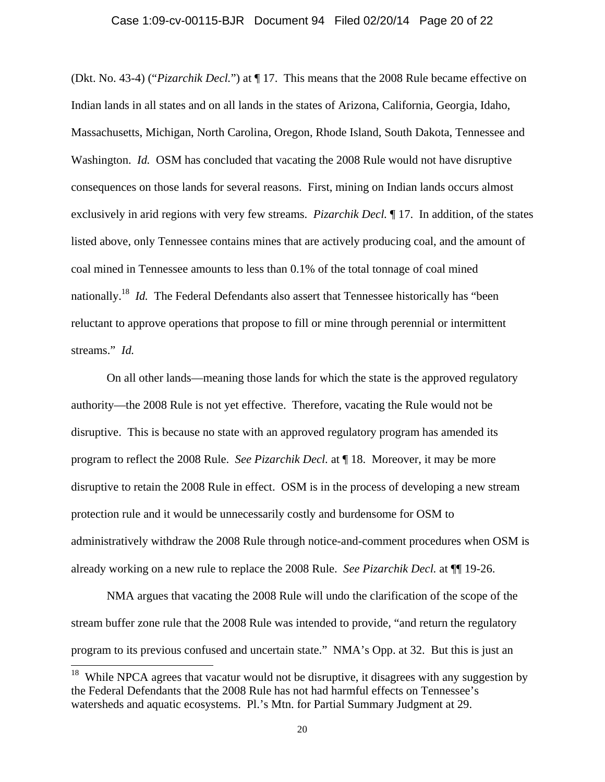### Case 1:09-cv-00115-BJR Document 94 Filed 02/20/14 Page 20 of 22

(Dkt. No. 43-4) ("*Pizarchik Decl.*") at ¶ 17. This means that the 2008 Rule became effective on Indian lands in all states and on all lands in the states of Arizona, California, Georgia, Idaho, Massachusetts, Michigan, North Carolina, Oregon, Rhode Island, South Dakota, Tennessee and Washington. *Id.* OSM has concluded that vacating the 2008 Rule would not have disruptive consequences on those lands for several reasons. First, mining on Indian lands occurs almost exclusively in arid regions with very few streams. *Pizarchik Decl.* ¶ 17. In addition, of the states listed above, only Tennessee contains mines that are actively producing coal, and the amount of coal mined in Tennessee amounts to less than 0.1% of the total tonnage of coal mined nationally.18 *Id.* The Federal Defendants also assert that Tennessee historically has "been reluctant to approve operations that propose to fill or mine through perennial or intermittent streams." *Id.*

On all other lands—meaning those lands for which the state is the approved regulatory authority—the 2008 Rule is not yet effective. Therefore, vacating the Rule would not be disruptive. This is because no state with an approved regulatory program has amended its program to reflect the 2008 Rule. *See Pizarchik Decl.* at ¶ 18. Moreover, it may be more disruptive to retain the 2008 Rule in effect. OSM is in the process of developing a new stream protection rule and it would be unnecessarily costly and burdensome for OSM to administratively withdraw the 2008 Rule through notice-and-comment procedures when OSM is already working on a new rule to replace the 2008 Rule. *See Pizarchik Decl.* at ¶¶ 19-26.

NMA argues that vacating the 2008 Rule will undo the clarification of the scope of the stream buffer zone rule that the 2008 Rule was intended to provide, "and return the regulatory program to its previous confused and uncertain state." NMA's Opp. at 32. But this is just an

 $\overline{\phantom{a}}$ 

<sup>&</sup>lt;sup>18</sup> While NPCA agrees that vacatur would not be disruptive, it disagrees with any suggestion by the Federal Defendants that the 2008 Rule has not had harmful effects on Tennessee's watersheds and aquatic ecosystems. Pl.'s Mtn. for Partial Summary Judgment at 29.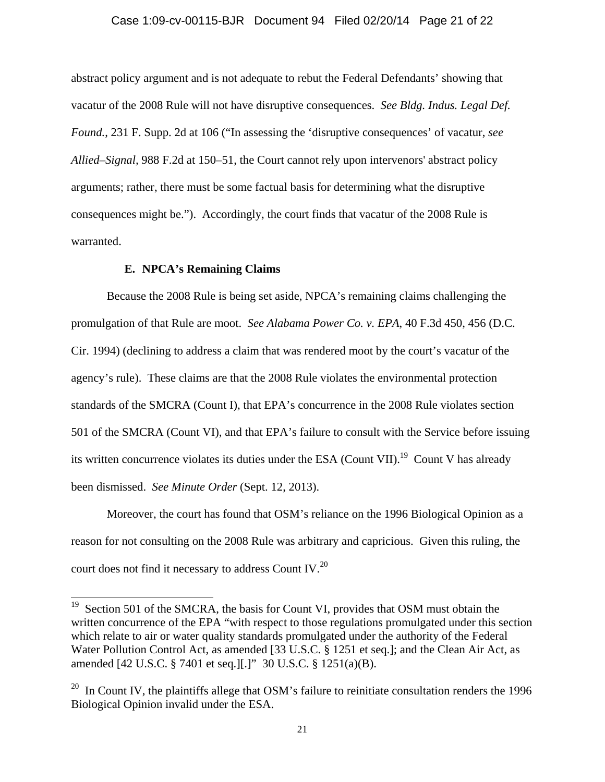#### Case 1:09-cv-00115-BJR Document 94 Filed 02/20/14 Page 21 of 22

abstract policy argument and is not adequate to rebut the Federal Defendants' showing that vacatur of the 2008 Rule will not have disruptive consequences. *See Bldg. Indus. Legal Def. Found.*, 231 F. Supp. 2d at 106 ("In assessing the 'disruptive consequences' of vacatur, *see Allied–Signal,* 988 F.2d at 150–51, the Court cannot rely upon intervenors' abstract policy arguments; rather, there must be some factual basis for determining what the disruptive consequences might be."). Accordingly, the court finds that vacatur of the 2008 Rule is warranted.

## **E. NPCA's Remaining Claims**

 $\overline{a}$ 

 Because the 2008 Rule is being set aside, NPCA's remaining claims challenging the promulgation of that Rule are moot. *See Alabama Power Co. v. EPA*, 40 F.3d 450, 456 (D.C. Cir. 1994) (declining to address a claim that was rendered moot by the court's vacatur of the agency's rule). These claims are that the 2008 Rule violates the environmental protection standards of the SMCRA (Count I), that EPA's concurrence in the 2008 Rule violates section 501 of the SMCRA (Count VI), and that EPA's failure to consult with the Service before issuing its written concurrence violates its duties under the ESA (Count VII).<sup>19</sup> Count V has already been dismissed. *See Minute Order* (Sept. 12, 2013).

Moreover, the court has found that OSM's reliance on the 1996 Biological Opinion as a reason for not consulting on the 2008 Rule was arbitrary and capricious. Given this ruling, the court does not find it necessary to address Count IV.20

Section 501 of the SMCRA, the basis for Count VI, provides that OSM must obtain the written concurrence of the EPA "with respect to those regulations promulgated under this section which relate to air or water quality standards promulgated under the authority of the Federal Water Pollution Control Act, as amended [33 U.S.C. § 1251 et seq.]; and the Clean Air Act, as amended [42 U.S.C. § 7401 et seq.][.]" 30 U.S.C. § 1251(a)(B).

<sup>&</sup>lt;sup>20</sup> In Count IV, the plaintiffs allege that OSM's failure to reinitiate consultation renders the 1996 Biological Opinion invalid under the ESA.